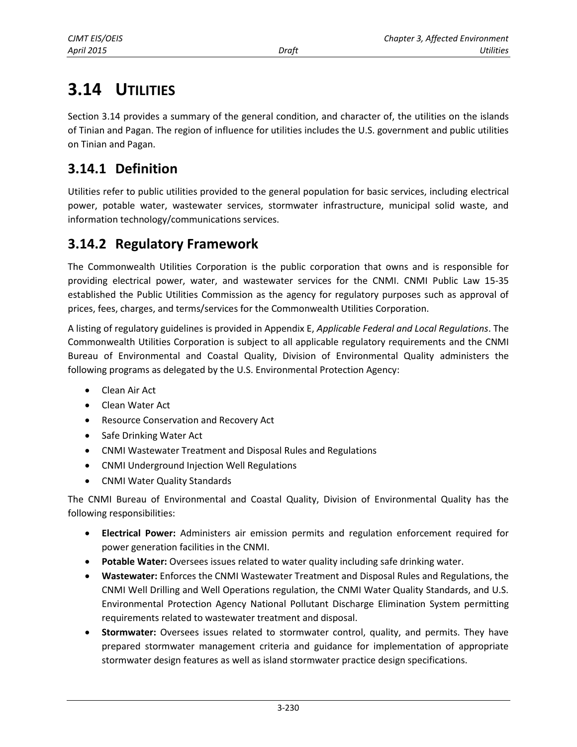# **3.14 UTILITIES**

Section 3.14 provides a summary of the general condition, and character of, the utilities on the islands of Tinian and Pagan. The region of influence for utilities includes the U.S. government and public utilities on Tinian and Pagan.

# **3.14.1 Definition**

Utilities refer to public utilities provided to the general population for basic services, including electrical power, potable water, wastewater services, stormwater infrastructure, municipal solid waste, and information technology/communications services.

# **3.14.2 Regulatory Framework**

The Commonwealth Utilities Corporation is the public corporation that owns and is responsible for providing electrical power, water, and wastewater services for the CNMI. CNMI Public Law 15-35 established the Public Utilities Commission as the agency for regulatory purposes such as approval of prices, fees, charges, and terms/services for the Commonwealth Utilities Corporation.

A listing of regulatory guidelines is provided in Appendix E, *Applicable Federal and Local Regulations*. The Commonwealth Utilities Corporation is subject to all applicable regulatory requirements and the CNMI Bureau of Environmental and Coastal Quality, Division of Environmental Quality administers the following programs as delegated by the U.S. Environmental Protection Agency:

- Clean Air Act
- Clean Water Act
- **Resource Conservation and Recovery Act**
- Safe Drinking Water Act
- CNMI Wastewater Treatment and Disposal Rules and Regulations
- CNMI Underground Injection Well Regulations
- CNMI Water Quality Standards

The CNMI Bureau of Environmental and Coastal Quality, Division of Environmental Quality has the following responsibilities:

- **Electrical Power:** Administers air emission permits and regulation enforcement required for power generation facilities in the CNMI.
- **Potable Water:** Oversees issues related to water quality including safe drinking water.
- **Wastewater:** Enforces the CNMI Wastewater Treatment and Disposal Rules and Regulations, the CNMI Well Drilling and Well Operations regulation, the CNMI Water Quality Standards, and U.S. Environmental Protection Agency National Pollutant Discharge Elimination System permitting requirements related to wastewater treatment and disposal.
- **Stormwater:** Oversees issues related to stormwater control, quality, and permits. They have prepared stormwater management criteria and guidance for implementation of appropriate stormwater design features as well as island stormwater practice design specifications.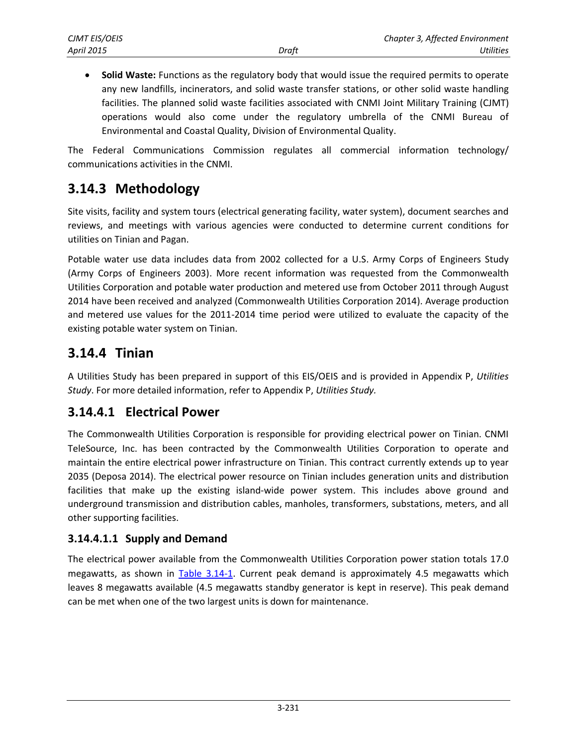**Solid Waste:** Functions as the regulatory body that would issue the required permits to operate any new landfills, incinerators, and solid waste transfer stations, or other solid waste handling facilities. The planned solid waste facilities associated with CNMI Joint Military Training (CJMT) operations would also come under the regulatory umbrella of the CNMI Bureau of Environmental and Coastal Quality, Division of Environmental Quality.

The Federal Communications Commission regulates all commercial information technology/ communications activities in the CNMI.

# **3.14.3 Methodology**

Site visits, facility and system tours (electrical generating facility, water system), document searches and reviews, and meetings with various agencies were conducted to determine current conditions for utilities on Tinian and Pagan.

Potable water use data includes data from 2002 collected for a U.S. Army Corps of Engineers Study (Army Corps of Engineers 2003). More recent information was requested from the Commonwealth Utilities Corporation and potable water production and metered use from October 2011 through August 2014 have been received and analyzed (Commonwealth Utilities Corporation 2014). Average production and metered use values for the 2011-2014 time period were utilized to evaluate the capacity of the existing potable water system on Tinian.

# **3.14.4 Tinian**

A Utilities Study has been prepared in support of this EIS/OEIS and is provided in Appendix P, *Utilities Study*. For more detailed information, refer to Appendix P, *Utilities Study.*

# **3.14.4.1 Electrical Power**

The Commonwealth Utilities Corporation is responsible for providing electrical power on Tinian. CNMI TeleSource, Inc. has been contracted by the Commonwealth Utilities Corporation to operate and maintain the entire electrical power infrastructure on Tinian. This contract currently extends up to year 2035 (Deposa 2014). The electrical power resource on Tinian includes generation units and distribution facilities that make up the existing island-wide power system. This includes above ground and underground transmission and distribution cables, manholes, transformers, substations, meters, and all other supporting facilities.

#### **3.14.4.1.1 Supply and Demand**

The electrical power available from the Commonwealth Utilities Corporation power station totals 17.0 megawatts, as shown in [Table 3.14-1.](#page-2-0) Current peak demand is approximately 4.5 megawatts which leaves 8 megawatts available (4.5 megawatts standby generator is kept in reserve). This peak demand can be met when one of the two largest units is down for maintenance.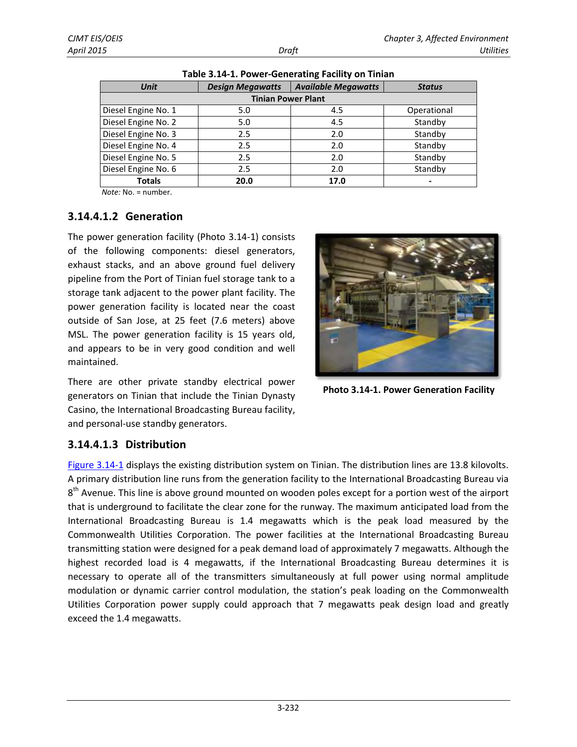| <b>Unit</b>               | <b>Design Megawatts</b> | <b>Available Megawatts</b> | <b>Status</b> |
|---------------------------|-------------------------|----------------------------|---------------|
| <b>Tinian Power Plant</b> |                         |                            |               |
| Diesel Engine No. 1       | 5.0                     | 4.5                        | Operational   |
| Diesel Engine No. 2       | 5.0                     | 4.5                        | Standby       |
| Diesel Engine No. 3       | 2.5                     | 2.0                        | Standby       |
| Diesel Engine No. 4       | 2.5                     | 2.0                        | Standby       |
| Diesel Engine No. 5       | 2.5                     | 2.0                        | Standby       |
| Diesel Engine No. 6       | 2.5                     | 2.0                        | Standby       |
| <b>Totals</b>             | 20.0                    | 17.0                       |               |

<span id="page-2-0"></span>**Table 3.14-1. Power-Generating Facility on Tinian** 

*Note:* No. = number.

#### **3.14.4.1.2 Generation**

The power generation facility (Photo 3.14-1) consists of the following components: diesel generators, exhaust stacks, and an above ground fuel delivery pipeline from the Port of Tinian fuel storage tank to a storage tank adjacent to the power plant facility. The power generation facility is located near the coast outside of San Jose, at 25 feet (7.6 meters) above MSL. The power generation facility is 15 years old, and appears to be in very good condition and well maintained.



**Photo 3.14-1. Power Generation Facility**

There are other private standby electrical power generators on Tinian that include the Tinian Dynasty Casino, the International Broadcasting Bureau facility, and personal-use standby generators.

#### **3.14.4.1.3 Distribution**

[Figure 3.14-1](#page-3-0) displays the existing distribution system on Tinian. The distribution lines are 13.8 kilovolts. A primary distribution line runs from the generation facility to the International Broadcasting Bureau via 8<sup>th</sup> Avenue. This line is above ground mounted on wooden poles except for a portion west of the airport that is underground to facilitate the clear zone for the runway. The maximum anticipated load from the International Broadcasting Bureau is 1.4 megawatts which is the peak load measured by the Commonwealth Utilities Corporation. The power facilities at the International Broadcasting Bureau transmitting station were designed for a peak demand load of approximately 7 megawatts. Although the highest recorded load is 4 megawatts, if the International Broadcasting Bureau determines it is necessary to operate all of the transmitters simultaneously at full power using normal amplitude modulation or dynamic carrier control modulation, the station's peak loading on the Commonwealth Utilities Corporation power supply could approach that 7 megawatts peak design load and greatly exceed the 1.4 megawatts.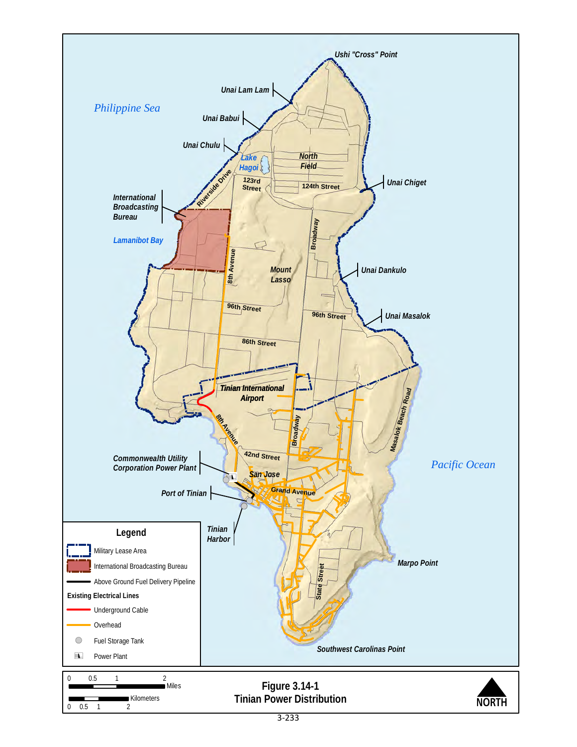<span id="page-3-0"></span>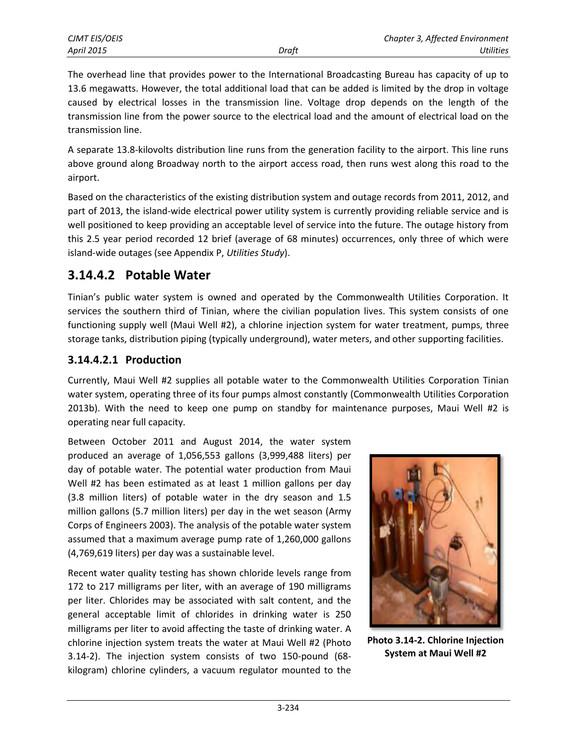The overhead line that provides power to the International Broadcasting Bureau has capacity of up to 13.6 megawatts. However, the total additional load that can be added is limited by the drop in voltage caused by electrical losses in the transmission line. Voltage drop depends on the length of the transmission line from the power source to the electrical load and the amount of electrical load on the transmission line.

A separate 13.8-kilovolts distribution line runs from the generation facility to the airport. This line runs above ground along Broadway north to the airport access road, then runs west along this road to the airport.

Based on the characteristics of the existing distribution system and outage records from 2011, 2012, and part of 2013, the island-wide electrical power utility system is currently providing reliable service and is well positioned to keep providing an acceptable level of service into the future. The outage history from this 2.5 year period recorded 12 brief (average of 68 minutes) occurrences, only three of which were island-wide outages (see Appendix P, *Utilities Study*).

#### **3.14.4.2 Potable Water**

Tinian's public water system is owned and operated by the Commonwealth Utilities Corporation. It services the southern third of Tinian, where the civilian population lives. This system consists of one functioning supply well (Maui Well #2), a chlorine injection system for water treatment, pumps, three storage tanks, distribution piping (typically underground), water meters, and other supporting facilities.

#### **3.14.4.2.1 Production**

Currently, Maui Well #2 supplies all potable water to the Commonwealth Utilities Corporation Tinian water system, operating three of its four pumps almost constantly (Commonwealth Utilities Corporation 2013b). With the need to keep one pump on standby for maintenance purposes, Maui Well #2 is operating near full capacity.

Between October 2011 and August 2014, the water system produced an average of 1,056,553 gallons (3,999,488 liters) per day of potable water. The potential water production from Maui Well #2 has been estimated as at least 1 million gallons per day (3.8 million liters) of potable water in the dry season and 1.5 million gallons (5.7 million liters) per day in the wet season (Army Corps of Engineers 2003). The analysis of the potable water system assumed that a maximum average pump rate of 1,260,000 gallons (4,769,619 liters) per day was a sustainable level.

Recent water quality testing has shown chloride levels range from 172 to 217 milligrams per liter, with an average of 190 milligrams per liter. Chlorides may be associated with salt content, and the general acceptable limit of chlorides in drinking water is 250 milligrams per liter to avoid affecting the taste of drinking water. A chlorine injection system treats the water at Maui Well #2 (Photo 3.14-2). The injection system consists of two 150-pound (68 kilogram) chlorine cylinders, a vacuum regulator mounted to the



**Photo 3.14-2. Chlorine Injection System at Maui Well #2**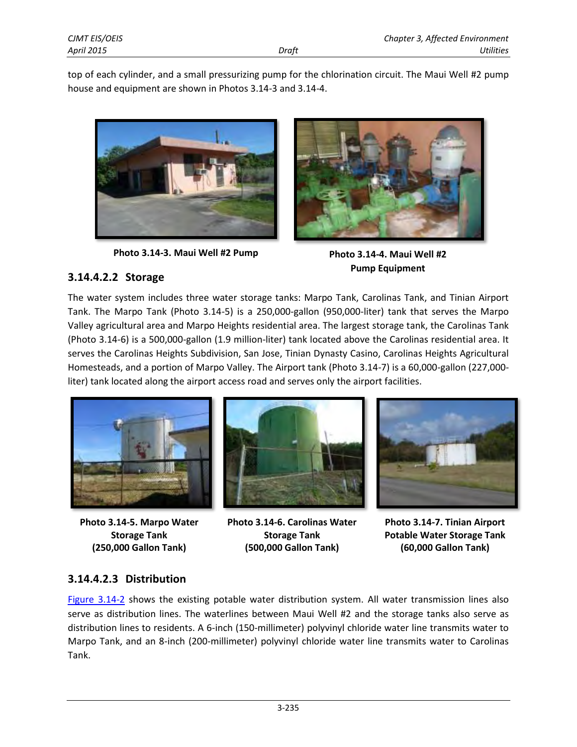top of each cylinder, and a small pressurizing pump for the chlorination circuit. The Maui Well #2 pump house and equipment are shown in Photos 3.14-3 and 3.14-4.



**Photo 3.14-3. Maui Well #2 Pump Photo 3.14-4. Maui Well #2**



**Pump Equipment**

#### **3.14.4.2.2 Storage**

The water system includes three water storage tanks: Marpo Tank, Carolinas Tank, and Tinian Airport Tank. The Marpo Tank (Photo 3.14-5) is a 250,000-gallon (950,000-liter) tank that serves the Marpo Valley agricultural area and Marpo Heights residential area. The largest storage tank, the Carolinas Tank (Photo 3.14-6) is a 500,000-gallon (1.9 million-liter) tank located above the Carolinas residential area. It serves the Carolinas Heights Subdivision, San Jose, Tinian Dynasty Casino, Carolinas Heights Agricultural Homesteads, and a portion of Marpo Valley. The Airport tank (Photo 3.14-7) is a 60,000-gallon (227,000 liter) tank located along the airport access road and serves only the airport facilities.



**Photo 3.14-5. Marpo Water Storage Tank (250,000 Gallon Tank)**



**Photo 3.14-6. Carolinas Water Storage Tank (500,000 Gallon Tank)**



**Photo 3.14-7. Tinian Airport Potable Water Storage Tank (60,000 Gallon Tank)**

#### **3.14.4.2.3 Distribution**

[Figure 3.14-2](#page-6-0) shows the existing potable water distribution system. All water transmission lines also serve as distribution lines. The waterlines between Maui Well #2 and the storage tanks also serve as distribution lines to residents. A 6-inch (150-millimeter) polyvinyl chloride water line transmits water to Marpo Tank, and an 8-inch (200-millimeter) polyvinyl chloride water line transmits water to Carolinas Tank.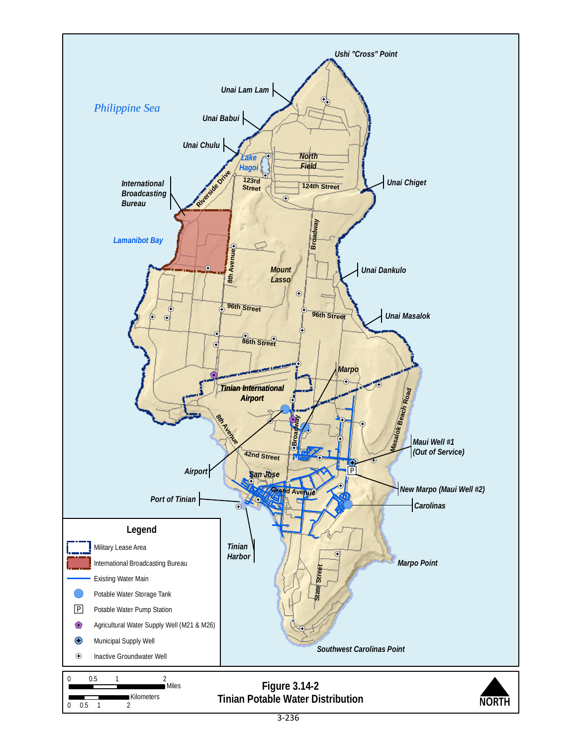<span id="page-6-0"></span>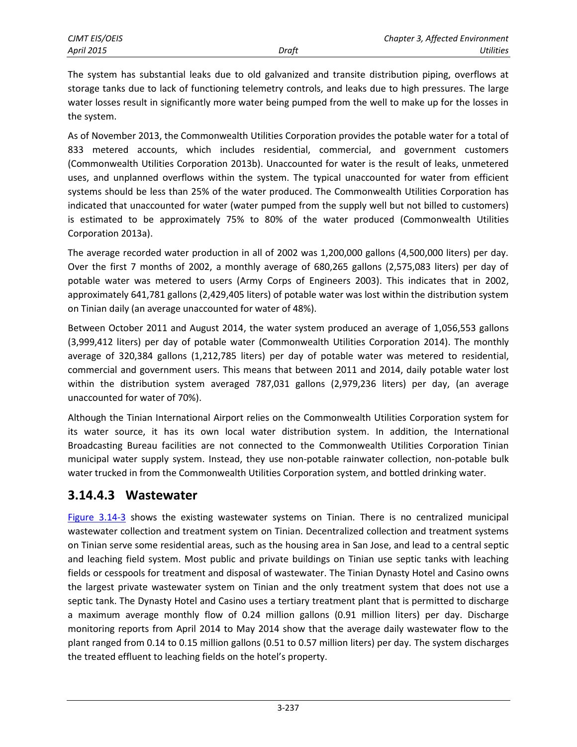The system has substantial leaks due to old galvanized and transite distribution piping, overflows at storage tanks due to lack of functioning telemetry controls, and leaks due to high pressures. The large water losses result in significantly more water being pumped from the well to make up for the losses in the system.

As of November 2013, the Commonwealth Utilities Corporation provides the potable water for a total of 833 metered accounts, which includes residential, commercial, and government customers (Commonwealth Utilities Corporation 2013b). Unaccounted for water is the result of leaks, unmetered uses, and unplanned overflows within the system. The typical unaccounted for water from efficient systems should be less than 25% of the water produced. The Commonwealth Utilities Corporation has indicated that unaccounted for water (water pumped from the supply well but not billed to customers) is estimated to be approximately 75% to 80% of the water produced (Commonwealth Utilities Corporation 2013a).

The average recorded water production in all of 2002 was 1,200,000 gallons (4,500,000 liters) per day. Over the first 7 months of 2002, a monthly average of 680,265 gallons (2,575,083 liters) per day of potable water was metered to users (Army Corps of Engineers 2003). This indicates that in 2002, approximately 641,781 gallons (2,429,405 liters) of potable water was lost within the distribution system on Tinian daily (an average unaccounted for water of 48%).

Between October 2011 and August 2014, the water system produced an average of 1,056,553 gallons (3,999,412 liters) per day of potable water (Commonwealth Utilities Corporation 2014). The monthly average of 320,384 gallons (1,212,785 liters) per day of potable water was metered to residential, commercial and government users. This means that between 2011 and 2014, daily potable water lost within the distribution system averaged 787,031 gallons (2,979,236 liters) per day, (an average unaccounted for water of 70%).

Although the Tinian International Airport relies on the Commonwealth Utilities Corporation system for its water source, it has its own local water distribution system. In addition, the International Broadcasting Bureau facilities are not connected to the Commonwealth Utilities Corporation Tinian municipal water supply system. Instead, they use non-potable rainwater collection, non-potable bulk water trucked in from the Commonwealth Utilities Corporation system, and bottled drinking water.

## **3.14.4.3 Wastewater**

[Figure 3.14-3](#page-8-0) shows the existing wastewater systems on Tinian. There is no centralized municipal wastewater collection and treatment system on Tinian. Decentralized collection and treatment systems on Tinian serve some residential areas, such as the housing area in San Jose, and lead to a central septic and leaching field system. Most public and private buildings on Tinian use septic tanks with leaching fields or cesspools for treatment and disposal of wastewater. The Tinian Dynasty Hotel and Casino owns the largest private wastewater system on Tinian and the only treatment system that does not use a septic tank. The Dynasty Hotel and Casino uses a tertiary treatment plant that is permitted to discharge a maximum average monthly flow of 0.24 million gallons (0.91 million liters) per day. Discharge monitoring reports from April 2014 to May 2014 show that the average daily wastewater flow to the plant ranged from 0.14 to 0.15 million gallons (0.51 to 0.57 million liters) per day. The system discharges the treated effluent to leaching fields on the hotel's property.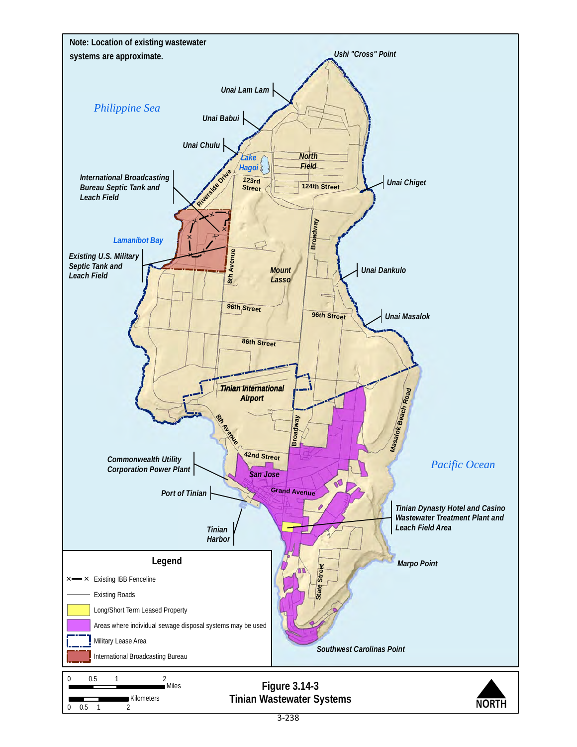<span id="page-8-0"></span>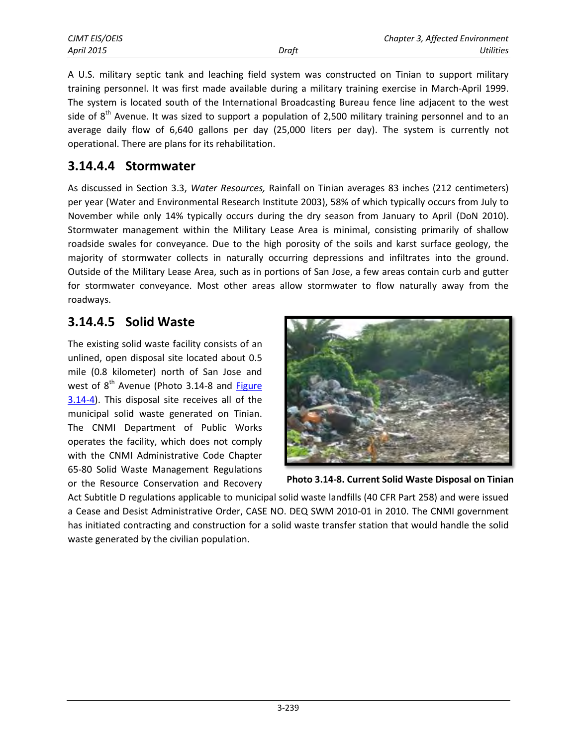A U.S. military septic tank and leaching field system was constructed on Tinian to support military training personnel. It was first made available during a military training exercise in March-April 1999. The system is located south of the International Broadcasting Bureau fence line adjacent to the west side of  $8<sup>th</sup>$  Avenue. It was sized to support a population of 2,500 military training personnel and to an average daily flow of 6,640 gallons per day (25,000 liters per day). The system is currently not operational. There are plans for its rehabilitation.

## **3.14.4.4 Stormwater**

As discussed in Section 3.3, *Water Resources,* Rainfall on Tinian averages 83 inches (212 centimeters) per year (Water and Environmental Research Institute 2003), 58% of which typically occurs from July to November while only 14% typically occurs during the dry season from January to April (DoN 2010). Stormwater management within the Military Lease Area is minimal, consisting primarily of shallow roadside swales for conveyance. Due to the high porosity of the soils and karst surface geology, the majority of stormwater collects in naturally occurring depressions and infiltrates into the ground. Outside of the Military Lease Area, such as in portions of San Jose, a few areas contain curb and gutter for stormwater conveyance. Most other areas allow stormwater to flow naturally away from the roadways.

# **3.14.4.5 Solid Waste**

The existing solid waste facility consists of an unlined, open disposal site located about 0.5 mile (0.8 kilometer) north of San Jose and west of  $8<sup>th</sup>$  Avenue (Photo 3.14-8 and Figure [3.14-4\)](#page-10-0). This disposal site receives all of the municipal solid waste generated on Tinian. The CNMI Department of Public Works operates the facility, which does not comply with the CNMI Administrative Code Chapter 65-80 Solid Waste Management Regulations or the Resource Conservation and Recovery



**Photo 3.14-8. Current Solid Waste Disposal on Tinian**

Act Subtitle D regulations applicable to municipal solid waste landfills (40 CFR Part 258) and were issued a Cease and Desist Administrative Order, CASE NO. DEQ SWM 2010-01 in 2010. The CNMI government has initiated contracting and construction for a solid waste transfer station that would handle the solid waste generated by the civilian population.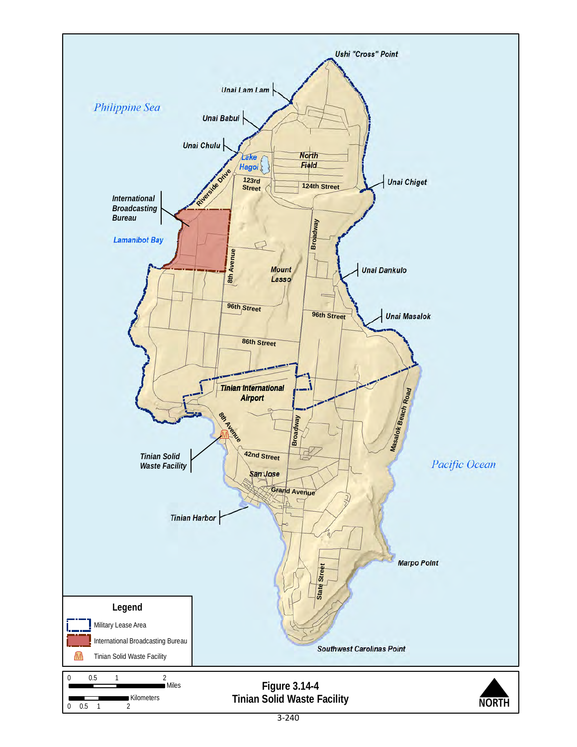<span id="page-10-0"></span>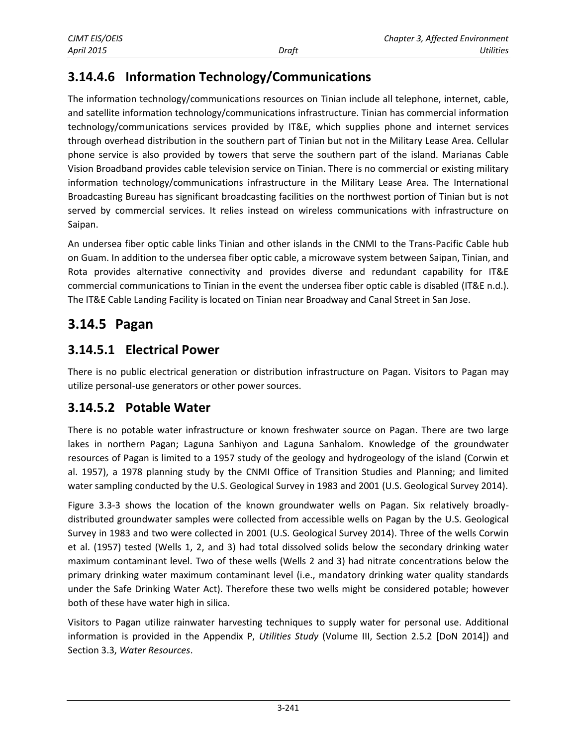# **3.14.4.6 Information Technology/Communications**

The information technology/communications resources on Tinian include all telephone, internet, cable, and satellite information technology/communications infrastructure. Tinian has commercial information technology/communications services provided by IT&E, which supplies phone and internet services through overhead distribution in the southern part of Tinian but not in the Military Lease Area. Cellular phone service is also provided by towers that serve the southern part of the island. Marianas Cable Vision Broadband provides cable television service on Tinian. There is no commercial or existing military information technology/communications infrastructure in the Military Lease Area. The International Broadcasting Bureau has significant broadcasting facilities on the northwest portion of Tinian but is not served by commercial services. It relies instead on wireless communications with infrastructure on Saipan.

An undersea fiber optic cable links Tinian and other islands in the CNMI to the Trans-Pacific Cable hub on Guam. In addition to the undersea fiber optic cable, a microwave system between Saipan, Tinian, and Rota provides alternative connectivity and provides diverse and redundant capability for IT&E commercial communications to Tinian in the event the undersea fiber optic cable is disabled (IT&E n.d.). The IT&E Cable Landing Facility is located on Tinian near Broadway and Canal Street in San Jose.

# **3.14.5 Pagan**

## **3.14.5.1 Electrical Power**

There is no public electrical generation or distribution infrastructure on Pagan. Visitors to Pagan may utilize personal-use generators or other power sources.

## **3.14.5.2 Potable Water**

There is no potable water infrastructure or known freshwater source on Pagan. There are two large lakes in northern Pagan; Laguna Sanhiyon and Laguna Sanhalom. Knowledge of the groundwater resources of Pagan is limited to a 1957 study of the geology and hydrogeology of the island (Corwin et al. 1957), a 1978 planning study by the CNMI Office of Transition Studies and Planning; and limited water sampling conducted by the U.S. Geological Survey in 1983 and 2001 (U.S. Geological Survey 2014).

Figure 3.3-3 shows the location of the known groundwater wells on Pagan. Six relatively broadlydistributed groundwater samples were collected from accessible wells on Pagan by the U.S. Geological Survey in 1983 and two were collected in 2001 (U.S. Geological Survey 2014). Three of the wells Corwin et al. (1957) tested (Wells 1, 2, and 3) had total dissolved solids below the secondary drinking water maximum contaminant level. Two of these wells (Wells 2 and 3) had nitrate concentrations below the primary drinking water maximum contaminant level (i.e., mandatory drinking water quality standards under the Safe Drinking Water Act). Therefore these two wells might be considered potable; however both of these have water high in silica.

Visitors to Pagan utilize rainwater harvesting techniques to supply water for personal use. Additional information is provided in the Appendix P, *Utilities Study* (Volume III, Section 2.5.2 [DoN 2014]) and Section 3.3, *Water Resources*.